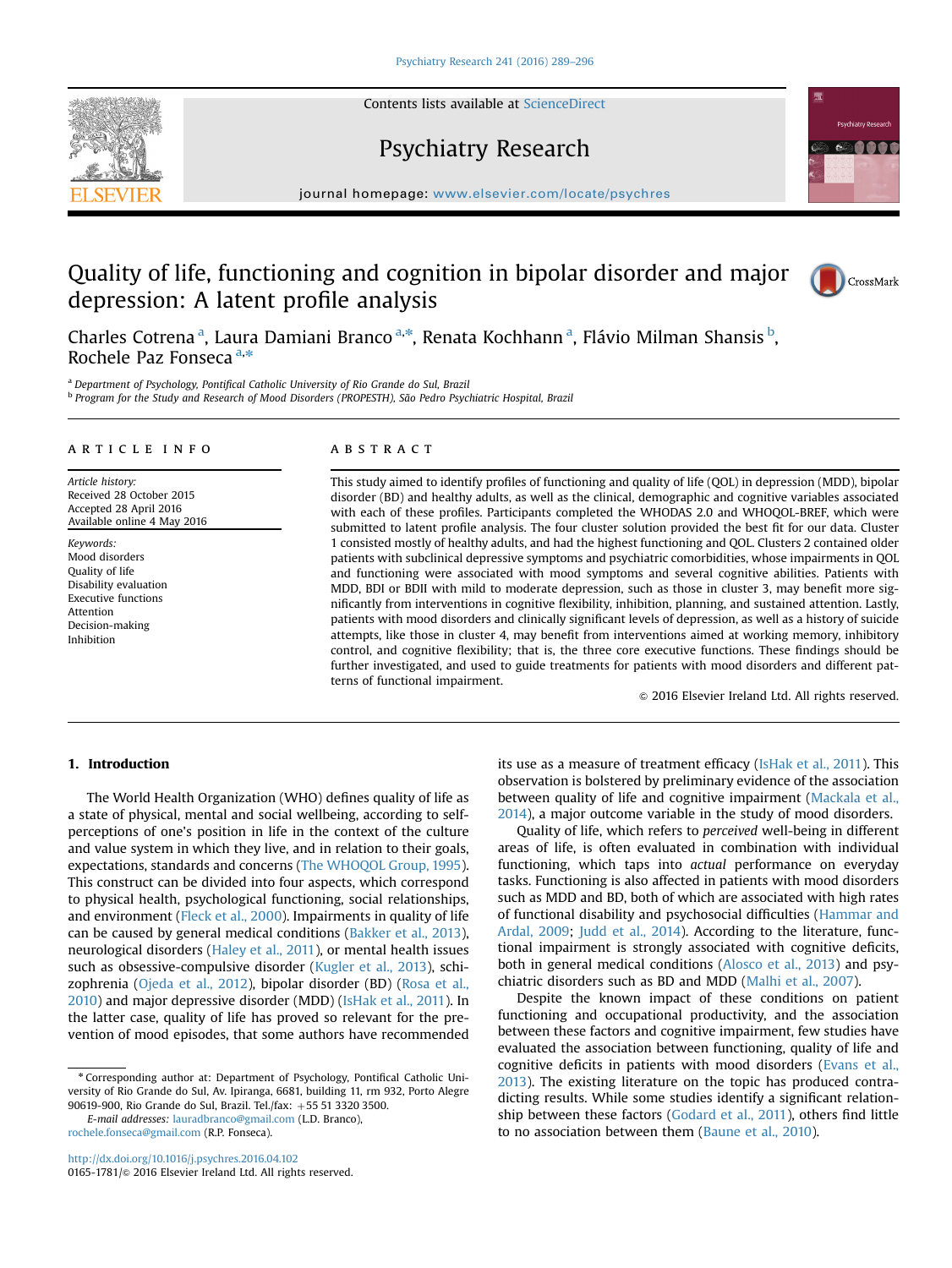Contents lists available at [ScienceDirect](www.sciencedirect.com/science/journal/01651781)







journal homepage: <www.elsevier.com/locate/psychres>

# Quality of life, functioning and cognition in bipolar disorder and major depression: A latent profile analysis



Charles Cotrena<sup>a</sup>, Laura Damiani Branco<sup>a,\*</sup>, Renata Kochhann<sup>a</sup>, Flávio Milman Shansis <sup>b</sup>, Rochele Paz Fonseca<sup>a,\*</sup>

<sup>a</sup> Department of Psychology, Pontifical Catholic University of Rio Grande do Sul, Brazil <sup>b</sup> Program for the Study and Research of Mood Disorders (PROPESTH), São Pedro Psychiatric Hospital, Brazil

### article info

Article history: Received 28 October 2015 Accepted 28 April 2016 Available online 4 May 2016

Keywords: Mood disorders Quality of life Disability evaluation Executive functions Attention Decision-making Inhibition

# **ABSTRACT**

This study aimed to identify profiles of functioning and quality of life (QOL) in depression (MDD), bipolar disorder (BD) and healthy adults, as well as the clinical, demographic and cognitive variables associated with each of these profiles. Participants completed the WHODAS 2.0 and WHOQOL-BREF, which were submitted to latent profile analysis. The four cluster solution provided the best fit for our data. Cluster 1 consisted mostly of healthy adults, and had the highest functioning and QOL. Clusters 2 contained older patients with subclinical depressive symptoms and psychiatric comorbidities, whose impairments in QOL and functioning were associated with mood symptoms and several cognitive abilities. Patients with MDD, BDI or BDII with mild to moderate depression, such as those in cluster 3, may benefit more significantly from interventions in cognitive flexibility, inhibition, planning, and sustained attention. Lastly, patients with mood disorders and clinically significant levels of depression, as well as a history of suicide attempts, like those in cluster 4, may benefit from interventions aimed at working memory, inhibitory control, and cognitive flexibility; that is, the three core executive functions. These findings should be further investigated, and used to guide treatments for patients with mood disorders and different patterns of functional impairment.

 $\odot$  2016 Elsevier Ireland Ltd. All rights reserved.

# 1. Introduction

The World Health Organization (WHO) defines quality of life as a state of physical, mental and social wellbeing, according to selfperceptions of one's position in life in the context of the culture and value system in which they live, and in relation to their goals, expectations, standards and concerns (The WHOQOL Group, 1995). This construct can be divided into four aspects, which correspond to physical health, psychological functioning, social relationships, and environment (Fleck et al., 2000). Impairments in quality of life can be caused by general medical conditions (Bakker et al., 2013), neurological disorders (Haley et al., 2011), or mental health issues such as obsessive-compulsive disorder (Kugler et al., 2013), schizophrenia (Ojeda et al., 2012), bipolar disorder (BD) (Rosa et al., 2010) and major depressive disorder (MDD) (IsHak et al., 2011). In the latter case, quality of life has proved so relevant for the prevention of mood episodes, that some authors have recommended

<sup>n</sup> Corresponding author at: Department of Psychology, Pontifical Catholic University of Rio Grande do Sul, Av. Ipiranga, 6681, building 11, rm 932, Porto Alegre 90619-900, Rio Grande do Sul, Brazil. Tel./fax: +55 51 3320 3500.

E-mail addresses: [lauradbranco@gmail.com](mailto:lauradbranco@gmail.com) (L.D. Branco), [rochele.fonseca@gmail.com](mailto:rochele.fonseca@gmail.com) (R.P. Fonseca).

<http://dx.doi.org/10.1016/j.psychres.2016.04.102> 0165-1781/© 2016 Elsevier Ireland Ltd. All rights reserved. its use as a measure of treatment efficacy (IsHak et al., 2011). This observation is bolstered by preliminary evidence of the association between quality of life and cognitive impairment (Mackala et al., 2014), a major outcome variable in the study of mood disorders.

Quality of life, which refers to perceived well-being in different areas of life, is often evaluated in combination with individual functioning, which taps into actual performance on everyday tasks. Functioning is also affected in patients with mood disorders such as MDD and BD, both of which are associated with high rates of functional disability and psychosocial difficulties (Hammar and Ardal, 2009; Judd et al., 2014). According to the literature, functional impairment is strongly associated with cognitive deficits, both in general medical conditions (Alosco et al., 2013) and psychiatric disorders such as BD and MDD (Malhi et al., 2007).

Despite the known impact of these conditions on patient functioning and occupational productivity, and the association between these factors and cognitive impairment, few studies have evaluated the association between functioning, quality of life and cognitive deficits in patients with mood disorders (Evans et al., 2013). The existing literature on the topic has produced contradicting results. While some studies identify a significant relationship between these factors (Godard et al., 2011), others find little to no association between them (Baune et al., 2010).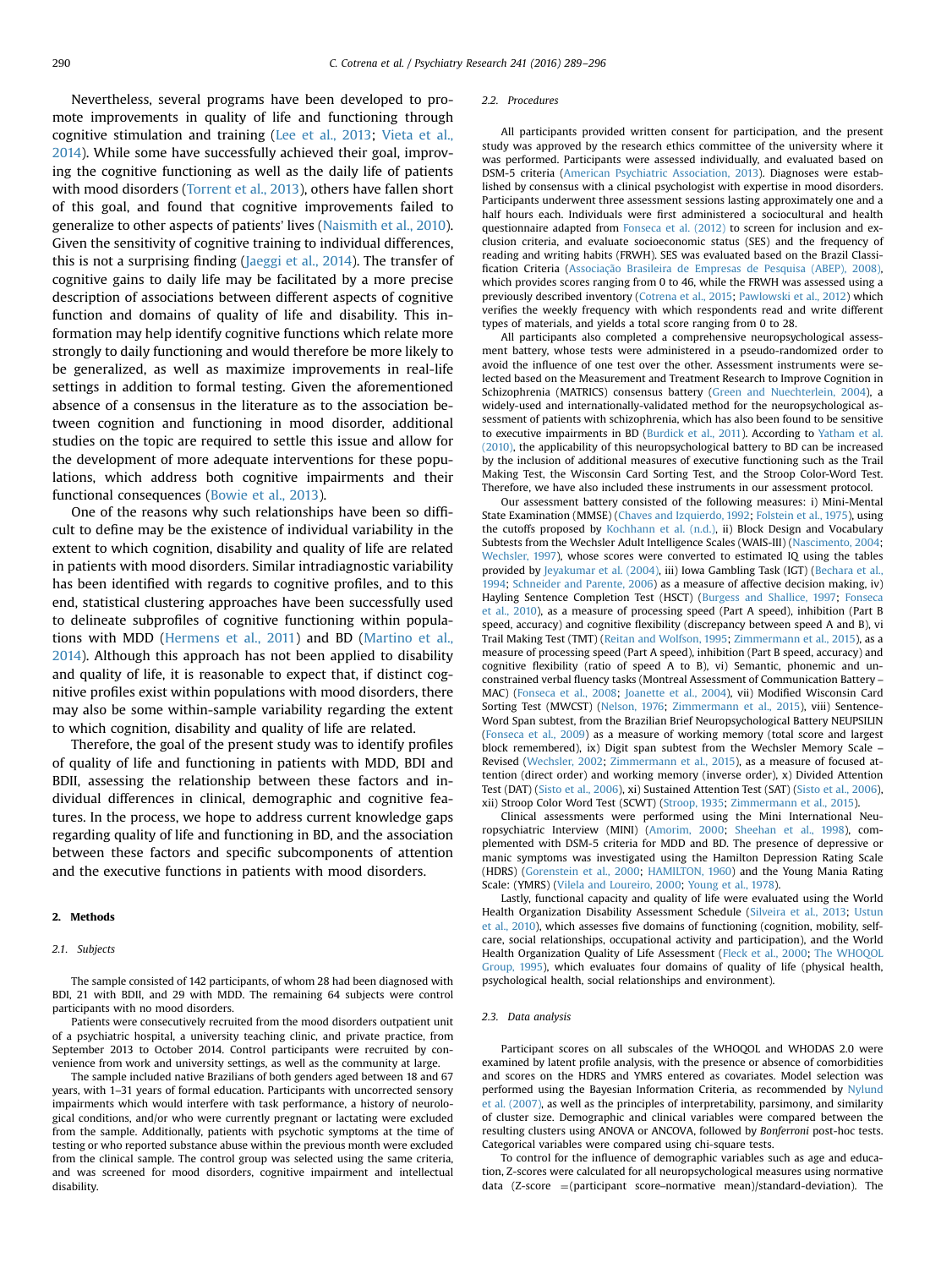Nevertheless, several programs have been developed to promote improvements in quality of life and functioning through cognitive stimulation and training (Lee et al., 2013; Vieta et al., 2014). While some have successfully achieved their goal, improving the cognitive functioning as well as the daily life of patients with mood disorders (Torrent et al., 2013), others have fallen short of this goal, and found that cognitive improvements failed to generalize to other aspects of patients' lives (Naismith et al., 2010). Given the sensitivity of cognitive training to individual differences, this is not a surprising finding (Jaeggi et al., 2014). The transfer of cognitive gains to daily life may be facilitated by a more precise description of associations between different aspects of cognitive function and domains of quality of life and disability. This information may help identify cognitive functions which relate more strongly to daily functioning and would therefore be more likely to be generalized, as well as maximize improvements in real-life settings in addition to formal testing. Given the aforementioned absence of a consensus in the literature as to the association between cognition and functioning in mood disorder, additional studies on the topic are required to settle this issue and allow for the development of more adequate interventions for these populations, which address both cognitive impairments and their functional consequences (Bowie et al., 2013).

One of the reasons why such relationships have been so difficult to define may be the existence of individual variability in the extent to which cognition, disability and quality of life are related in patients with mood disorders. Similar intradiagnostic variability has been identified with regards to cognitive profiles, and to this end, statistical clustering approaches have been successfully used to delineate subprofiles of cognitive functioning within populations with MDD (Hermens et al., 2011) and BD (Martino et al., 2014). Although this approach has not been applied to disability and quality of life, it is reasonable to expect that, if distinct cognitive profiles exist within populations with mood disorders, there may also be some within-sample variability regarding the extent to which cognition, disability and quality of life are related.

Therefore, the goal of the present study was to identify profiles of quality of life and functioning in patients with MDD, BDI and BDII, assessing the relationship between these factors and individual differences in clinical, demographic and cognitive features. In the process, we hope to address current knowledge gaps regarding quality of life and functioning in BD, and the association between these factors and specific subcomponents of attention and the executive functions in patients with mood disorders.

## 2. Methods

#### 2.1. Subjects

The sample consisted of 142 participants, of whom 28 had been diagnosed with BDI, 21 with BDII, and 29 with MDD. The remaining 64 subjects were control participants with no mood disorders.

Patients were consecutively recruited from the mood disorders outpatient unit of a psychiatric hospital, a university teaching clinic, and private practice, from September 2013 to October 2014. Control participants were recruited by convenience from work and university settings, as well as the community at large.

The sample included native Brazilians of both genders aged between 18 and 67 years, with 1–31 years of formal education. Participants with uncorrected sensory impairments which would interfere with task performance, a history of neurological conditions, and/or who were currently pregnant or lactating were excluded from the sample. Additionally, patients with psychotic symptoms at the time of testing or who reported substance abuse within the previous month were excluded from the clinical sample. The control group was selected using the same criteria, and was screened for mood disorders, cognitive impairment and intellectual disability.

#### 2.2. Procedures

All participants provided written consent for participation, and the present study was approved by the research ethics committee of the university where it was performed. Participants were assessed individually, and evaluated based on DSM-5 criteria (American Psychiatric Association, 2013). Diagnoses were established by consensus with a clinical psychologist with expertise in mood disorders. Participants underwent three assessment sessions lasting approximately one and a half hours each. Individuals were first administered a sociocultural and health questionnaire adapted from Fonseca et al. (2012) to screen for inclusion and exclusion criteria, and evaluate socioeconomic status (SES) and the frequency of reading and writing habits (FRWH). SES was evaluated based on the Brazil Classification Criteria (Associação Brasileira de Empresas de Pesquisa (ABEP), 2008), which provides scores ranging from 0 to 46, while the FRWH was assessed using a previously described inventory (Cotrena et al., 2015; Pawlowski et al., 2012) which verifies the weekly frequency with which respondents read and write different types of materials, and yields a total score ranging from 0 to 28.

All participants also completed a comprehensive neuropsychological assessment battery, whose tests were administered in a pseudo-randomized order to avoid the influence of one test over the other. Assessment instruments were selected based on the Measurement and Treatment Research to Improve Cognition in Schizophrenia (MATRICS) consensus battery (Green and Nuechterlein, 2004), a widely-used and internationally-validated method for the neuropsychological assessment of patients with schizophrenia, which has also been found to be sensitive to executive impairments in BD (Burdick et al., 2011). According to Yatham et al. (2010), the applicability of this neuropsychological battery to BD can be increased by the inclusion of additional measures of executive functioning such as the Trail Making Test, the Wisconsin Card Sorting Test, and the Stroop Color-Word Test. Therefore, we have also included these instruments in our assessment protocol.

Our assessment battery consisted of the following measures: i) Mini-Mental State Examination (MMSE) (Chaves and Izquierdo, 1992; Folstein et al., 1975), using the cutoffs proposed by Kochhann et al. (n.d.), ii) Block Design and Vocabulary Subtests from the Wechsler Adult Intelligence Scales (WAIS-III) (Nascimento, 2004; Wechsler, 1997), whose scores were converted to estimated IQ using the tables provided by Jeyakumar et al. (2004), iii) Iowa Gambling Task (IGT) (Bechara et al., 1994; Schneider and Parente, 2006) as a measure of affective decision making, iv) Hayling Sentence Completion Test (HSCT) (Burgess and Shallice, 1997; Fonseca et al., 2010), as a measure of processing speed (Part A speed), inhibition (Part B speed, accuracy) and cognitive flexibility (discrepancy between speed A and B), vi Trail Making Test (TMT) (Reitan and Wolfson, 1995; Zimmermann et al., 2015), as a measure of processing speed (Part A speed), inhibition (Part B speed, accuracy) and cognitive flexibility (ratio of speed A to B), vi) Semantic, phonemic and unconstrained verbal fluency tasks (Montreal Assessment of Communication Battery – MAC) (Fonseca et al., 2008; Joanette et al., 2004), vii) Modified Wisconsin Card Sorting Test (MWCST) (Nelson, 1976; Zimmermann et al., 2015), viii) Sentence-Word Span subtest, from the Brazilian Brief Neuropsychological Battery NEUPSILIN (Fonseca et al., 2009) as a measure of working memory (total score and largest block remembered), ix) Digit span subtest from the Wechsler Memory Scale – Revised (Wechsler, 2002; Zimmermann et al., 2015), as a measure of focused attention (direct order) and working memory (inverse order), x) Divided Attention Test (DAT) (Sisto et al., 2006), xi) Sustained Attention Test (SAT) (Sisto et al., 2006), xii) Stroop Color Word Test (SCWT) (Stroop, 1935; Zimmermann et al., 2015).

Clinical assessments were performed using the Mini International Neuropsychiatric Interview (MINI) (Amorim, 2000; Sheehan et al., 1998), complemented with DSM-5 criteria for MDD and BD. The presence of depressive or manic symptoms was investigated using the Hamilton Depression Rating Scale (HDRS) (Gorenstein et al., 2000; HAMILTON, 1960) and the Young Mania Rating Scale: (YMRS) (Vilela and Loureiro, 2000; Young et al., 1978).

Lastly, functional capacity and quality of life were evaluated using the World Health Organization Disability Assessment Schedule (Silveira et al., 2013; Ustun et al., 2010), which assesses five domains of functioning (cognition, mobility, selfcare, social relationships, occupational activity and participation), and the World Health Organization Quality of Life Assessment (Fleck et al., 2000; The WHOQOL Group, 1995), which evaluates four domains of quality of life (physical health, psychological health, social relationships and environment).

#### 2.3. Data analysis

Participant scores on all subscales of the WHOQOL and WHODAS 2.0 were examined by latent profile analysis, with the presence or absence of comorbidities and scores on the HDRS and YMRS entered as covariates. Model selection was performed using the Bayesian Information Criteria, as recommended by Nylund et al. (2007), as well as the principles of interpretability, parsimony, and similarity of cluster size. Demographic and clinical variables were compared between the resulting clusters using ANOVA or ANCOVA, followed by Bonferroni post-hoc tests. Categorical variables were compared using chi-square tests.

To control for the influence of demographic variables such as age and education, Z-scores were calculated for all neuropsychological measures using normative data (Z-score  $=($ participant score–normative mean)/standard-deviation). The